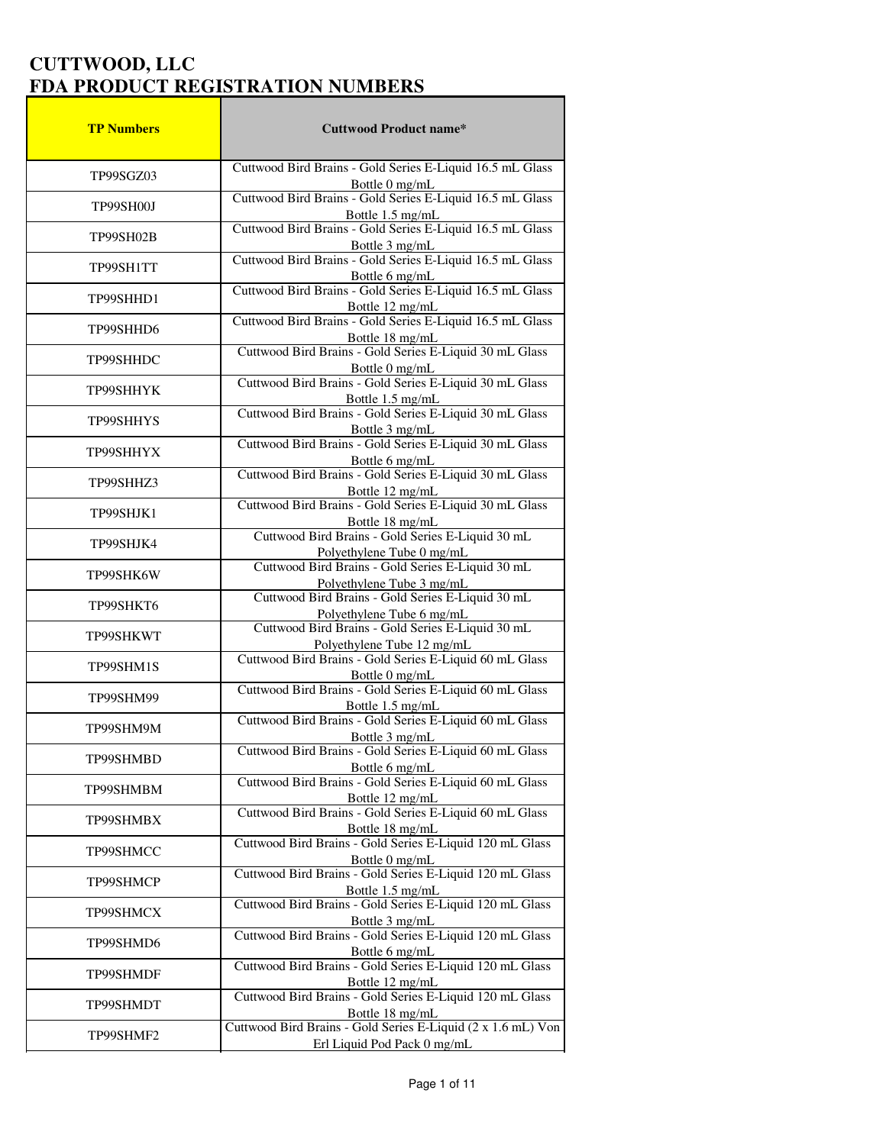| <b>TP Numbers</b> | <b>Cuttwood Product name*</b>                                                         |
|-------------------|---------------------------------------------------------------------------------------|
| TP99SGZ03         | Cuttwood Bird Brains - Gold Series E-Liquid 16.5 mL Glass                             |
|                   | Bottle 0 mg/mL                                                                        |
| TP99SH00J         | Cuttwood Bird Brains - Gold Series E-Liquid 16.5 mL Glass<br>Bottle 1.5 mg/mL         |
|                   | Cuttwood Bird Brains - Gold Series E-Liquid 16.5 mL Glass                             |
| TP99SH02B         | Bottle 3 mg/mL                                                                        |
| TP99SH1TT         | Cuttwood Bird Brains - Gold Series E-Liquid 16.5 mL Glass                             |
|                   | Bottle 6 mg/mL<br>Cuttwood Bird Brains - Gold Series E-Liquid 16.5 mL Glass           |
| TP99SHHD1         |                                                                                       |
|                   | Bottle 12 mg/mL<br>Cuttwood Bird Brains - Gold Series E-Liquid 16.5 mL Glass          |
| TP99SHHD6         | Bottle 18 mg/mL                                                                       |
| TP99SHHDC         | Cuttwood Bird Brains - Gold Series E-Liquid 30 mL Glass                               |
|                   | Bottle 0 mg/mL<br>Cuttwood Bird Brains - Gold Series E-Liquid 30 mL Glass             |
| TP99SHHYK         |                                                                                       |
|                   | Bottle 1.5 mg/mL<br>Cuttwood Bird Brains - Gold Series E-Liquid 30 mL Glass           |
| TP99SHHYS         | Bottle 3 mg/mL<br>Cuttwood Bird Brains - Gold Series E-Liquid 30 mL Glass             |
| TP99SHHYX         |                                                                                       |
|                   | Bottle 6 mg/mL<br>Cuttwood Bird Brains - Gold Series E-Liquid 30 mL Glass             |
| TP99SHHZ3         | Bottle 12 mg/mL                                                                       |
|                   | Cuttwood Bird Brains - Gold Series E-Liquid 30 mL Glass                               |
| TP99SHJK1         | Bottle 18 mg/mL                                                                       |
| TP99SHJK4         | Cuttwood Bird Brains - Gold Series E-Liquid 30 mL                                     |
|                   | Polyethylene Tube 0 mg/mL<br>Cuttwood Bird Brains - Gold Series E-Liquid 30 mL        |
| TP99SHK6W         |                                                                                       |
| TP99SHKT6         | Polyethylene Tube 3 mg/mL<br>Cuttwood Bird Brains - Gold Series E-Liquid 30 mL        |
|                   | Polyethylene Tube 6 mg/mL                                                             |
| TP99SHKWT         | Cuttwood Bird Brains - Gold Series E-Liquid 30 mL                                     |
|                   | Polyethylene Tube 12 mg/mL<br>Cuttwood Bird Brains - Gold Series E-Liquid 60 mL Glass |
| TP99SHM1S         |                                                                                       |
| TP99SHM99         | Bottle 0 mg/mL<br>Cuttwood Bird Brains - Gold Series E-Liquid 60 mL Glass             |
|                   | Bottle 1.5 mg/mL<br>Cuttwood Bird Brains - Gold Series E-Liquid 60 mL Glass           |
| TP99SHM9M         |                                                                                       |
|                   | Bottle 3 mg/mL<br>Cuttwood Bird Brains - Gold Series E-Liquid 60 mL Glass             |
| TP99SHMBD         | Bottle 6 mg/mL                                                                        |
| TP99SHMBM         | Cuttwood Bird Brains - Gold Series E-Liquid 60 mL Glass                               |
|                   | Bottle 12 mg/mL                                                                       |
| TP99SHMBX         | Cuttwood Bird Brains - Gold Series E-Liquid 60 mL Glass<br>Bottle 18 mg/mL            |
|                   | Cuttwood Bird Brains - Gold Series E-Liquid 120 mL Glass                              |
| TP99SHMCC         |                                                                                       |
| TP99SHMCP         | Bottle 0 mg/mL<br>Cuttwood Bird Brains - Gold Series E-Liquid 120 mL Glass            |
|                   | Bottle 1.5 mg/mL<br>Cuttwood Bird Brains - Gold Series E-Liquid 120 mL Glass          |
| TP99SHMCX         |                                                                                       |
|                   | Bottle 3 mg/mL<br>Cuttwood Bird Brains - Gold Series E-Liquid 120 mL Glass            |
| TP99SHMD6         | Bottle 6 mg/mL                                                                        |
| TP99SHMDF         | Cuttwood Bird Brains - Gold Series E-Liquid 120 mL Glass                              |
|                   | Bottle 12 mg/mL                                                                       |
| TP99SHMDT         | Cuttwood Bird Brains - Gold Series E-Liquid 120 mL Glass                              |
|                   | Bottle 18 mg/mL<br>Cuttwood Bird Brains - Gold Series E-Liquid (2 x 1.6 mL) Von       |
| TP99SHMF2         | Erl Liquid Pod Pack 0 mg/mL                                                           |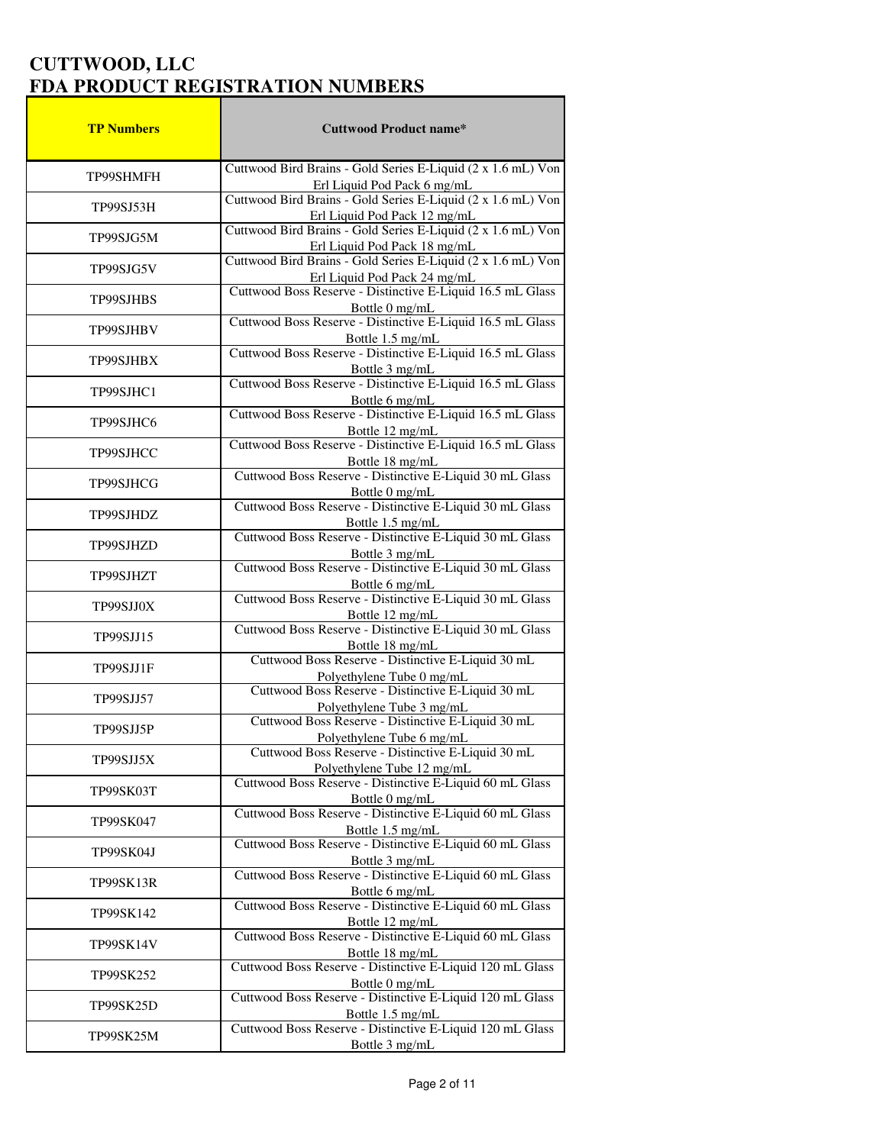| <b>TP Numbers</b> | <b>Cuttwood Product name*</b>                                                                                                          |
|-------------------|----------------------------------------------------------------------------------------------------------------------------------------|
|                   | Cuttwood Bird Brains - Gold Series E-Liquid (2 x 1.6 mL) Von                                                                           |
| TP99SHMFH         | Erl Liquid Pod Pack 6 mg/mL                                                                                                            |
| TP99SJ53H         | Cuttwood Bird Brains - Gold Series E-Liquid (2 x 1.6 mL) Von<br>Erl Liquid Pod Pack 12 mg/mL                                           |
| TP99SJG5M         | Cuttwood Bird Brains - Gold Series E-Liquid (2 x 1.6 mL) Von                                                                           |
|                   | Erl Liquid Pod Pack 18 mg/mL<br>Cuttwood Bird Brains - Gold Series E-Liquid (2 x 1.6 mL) Von                                           |
| TP99SJG5V         | Erl Liquid Pod Pack 24 mg/mL<br>Cuttwood Boss Reserve - Distinctive E-Liquid 16.5 mL Glass                                             |
| <b>TP99SJHBS</b>  | Bottle 0 mg/mL<br>Cuttwood Boss Reserve - Distinctive E-Liquid 16.5 mL Glass                                                           |
| TP99SJHBV         | Bottle 1.5 mg/mL                                                                                                                       |
| TP99SJHBX         | Cuttwood Boss Reserve - Distinctive E-Liquid 16.5 mL Glass<br>Bottle 3 mg/mL                                                           |
| TP99SJHC1         | Cuttwood Boss Reserve - Distinctive E-Liquid 16.5 mL Glass                                                                             |
| TP99SJHC6         | Bottle 6 mg/mL<br>Cuttwood Boss Reserve - Distinctive E-Liquid 16.5 mL Glass                                                           |
|                   | Bottle 12 mg/mL<br>Cuttwood Boss Reserve - Distinctive E-Liquid 16.5 mL Glass                                                          |
| TP99SJHCC         |                                                                                                                                        |
| TP99SJHCG         | Bottle 18 mg/mL<br>Cuttwood Boss Reserve - Distinctive E-Liquid 30 mL Glass<br>Bottle 0 mg/mL                                          |
| TP99SJHDZ         | Cuttwood Boss Reserve - Distinctive E-Liquid 30 mL Glass                                                                               |
|                   | Bottle 1.5 mg/mL                                                                                                                       |
| TP99SJHZD         | Cuttwood Boss Reserve - Distinctive E-Liquid 30 mL Glass<br>Bottle 3 mg/mL<br>Cuttwood Boss Reserve - Distinctive E-Liquid 30 mL Glass |
| TP99SJHZT         | Bottle 6 mg/mL                                                                                                                         |
| TP99SJJ0X         | Cuttwood Boss Reserve - Distinctive E-Liquid 30 mL Glass<br>Bottle 12 mg/mL                                                            |
| TP99SJJ15         | Cuttwood Boss Reserve - Distinctive E-Liquid 30 mL Glass<br>Bottle 18 mg/mL                                                            |
| TP99SJJ1F         | Cuttwood Boss Reserve - Distinctive E-Liquid 30 mL                                                                                     |
| TP99SJJ57         | Polyethylene Tube 0 mg/mL<br>Cuttwood Boss Reserve - Distinctive E-Liquid 30 mL                                                        |
|                   | Polyethylene Tube 3 mg/mL<br>Cuttwood Boss Reserve - Distinctive E-Liquid 30 mL                                                        |
| TP99SJJ5P         | Polyethylene Tube 6 mg/mL                                                                                                              |
| TP99SJJ5X         | Cuttwood Boss Reserve - Distinctive E-Liquid 30 mL<br>Polyethylene Tube 12 mg/mL                                                       |
| TP99SK03T         | Cuttwood Boss Reserve - Distinctive E-Liquid 60 mL Glass<br>Bottle 0 mg/mL                                                             |
| TP99SK047         | Cuttwood Boss Reserve - Distinctive E-Liquid 60 mL Glass<br>Bottle 1.5 mg/mL                                                           |
| TP99SK04J         | Cuttwood Boss Reserve - Distinctive E-Liquid 60 mL Glass<br>Bottle 3 mg/mL                                                             |
| <b>TP99SK13R</b>  | Cuttwood Boss Reserve - Distinctive E-Liquid 60 mL Glass                                                                               |
| TP99SK142         | Bottle 6 mg/mL<br>Cuttwood Boss Reserve - Distinctive E-Liquid 60 mL Glass                                                             |
| <b>TP99SK14V</b>  | Bottle 12 mg/mL<br>Cuttwood Boss Reserve - Distinctive E-Liquid 60 mL Glass<br>Bottle 18 mg/mL                                         |
| TP99SK252         | Cuttwood Boss Reserve - Distinctive E-Liquid 120 mL Glass<br>Bottle 0 mg/mL                                                            |
| <b>TP99SK25D</b>  | Cuttwood Boss Reserve - Distinctive E-Liquid 120 mL Glass                                                                              |
| TP99SK25M         | Bottle 1.5 mg/mL<br>Cuttwood Boss Reserve - Distinctive E-Liquid 120 mL Glass<br>Bottle 3 mg/mL                                        |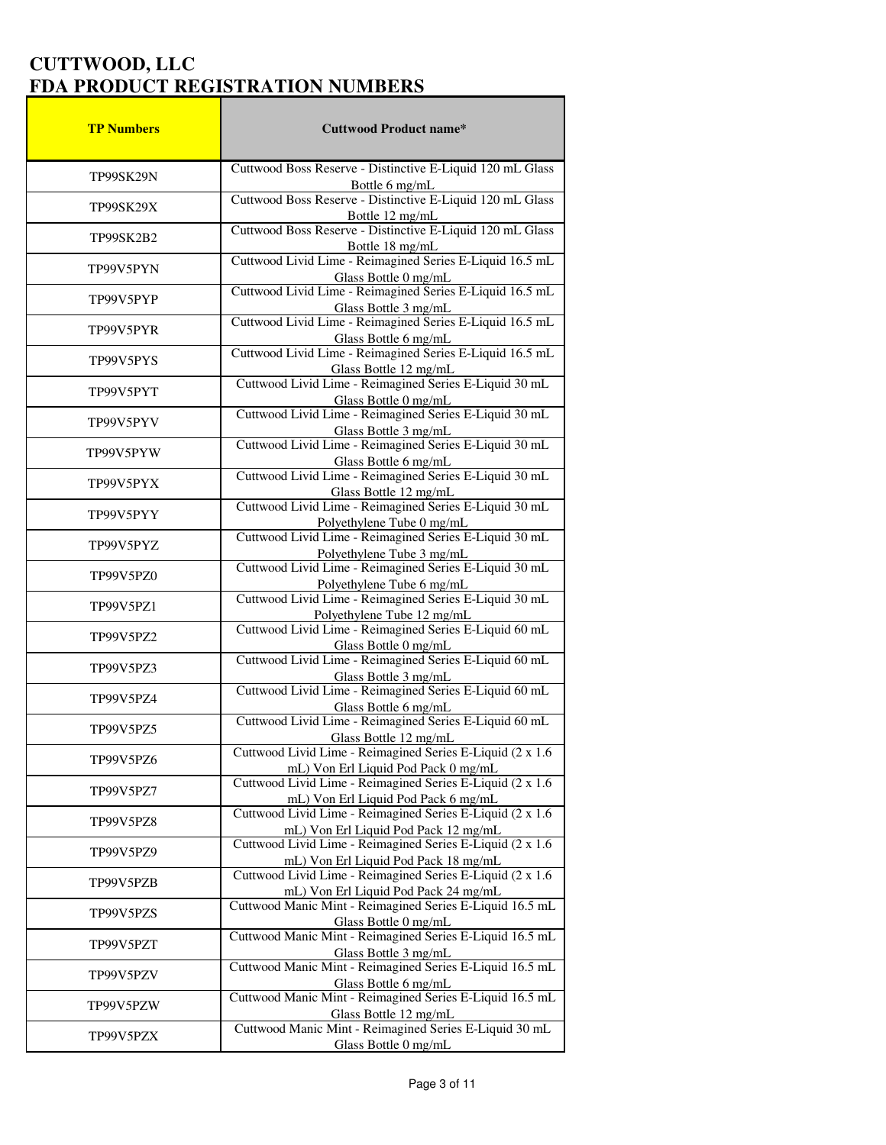| <b>TP Numbers</b> | <b>Cuttwood Product name*</b>                                                                                                              |
|-------------------|--------------------------------------------------------------------------------------------------------------------------------------------|
|                   | Cuttwood Boss Reserve - Distinctive E-Liquid 120 mL Glass                                                                                  |
| <b>TP99SK29N</b>  | Bottle 6 mg/mL                                                                                                                             |
| <b>TP99SK29X</b>  | Cuttwood Boss Reserve - Distinctive E-Liquid 120 mL Glass<br>Bottle 12 mg/mL                                                               |
| TP99SK2B2         | Cuttwood Boss Reserve - Distinctive E-Liquid 120 mL Glass                                                                                  |
|                   | Bottle 18 mg/mL                                                                                                                            |
| TP99V5PYN         | Cuttwood Livid Lime - Reimagined Series E-Liquid 16.5 mL<br>Glass Bottle 0 mg/mL                                                           |
| TP99V5PYP         | Cuttwood Livid Lime - Reimagined Series E-Liquid 16.5 mL<br>Glass Bottle 3 mg/mL                                                           |
| TP99V5PYR         | Cuttwood Livid Lime - Reimagined Series E-Liquid 16.5 mL<br>Glass Bottle 6 mg/mL                                                           |
| TP99V5PYS         | Cuttwood Livid Lime - Reimagined Series E-Liquid 16.5 mL<br>Glass Bottle 12 mg/mL                                                          |
| TP99V5PYT         | Cuttwood Livid Lime - Reimagined Series E-Liquid 30 mL<br>Glass Bottle 0 mg/mL                                                             |
| TP99V5PYV         | Cuttwood Livid Lime - Reimagined Series E-Liquid 30 mL                                                                                     |
|                   | Glass Bottle 3 mg/mL<br>Cuttwood Livid Lime - Reimagined Series E-Liquid 30 mL                                                             |
| TP99V5PYW         | Glass Bottle 6 mg/mL<br>Cuttwood Livid Lime - Reimagined Series E-Liquid 30 mL                                                             |
| TP99V5PYX         | Glass Bottle 12 mg/mL                                                                                                                      |
| TP99V5PYY         | Cuttwood Livid Lime - Reimagined Series E-Liquid 30 mL<br>Polyethylene Tube 0 mg/mL                                                        |
| TP99V5PYZ         | Cuttwood Livid Lime - Reimagined Series E-Liquid 30 mL                                                                                     |
| TP99V5PZ0         | Polyethylene Tube 3 mg/mL<br>Cuttwood Livid Lime - Reimagined Series E-Liquid 30 mL                                                        |
| TP99V5PZ1         | Polyethylene Tube 6 mg/mL<br>Cuttwood Livid Lime - Reimagined Series E-Liquid 30 mL<br>Polyethylene Tube 12 mg/mL                          |
| TP99V5PZ2         | Cuttwood Livid Lime - Reimagined Series E-Liquid 60 mL<br>Glass Bottle 0 mg/mL                                                             |
| TP99V5PZ3         | Cuttwood Livid Lime - Reimagined Series E-Liquid 60 mL                                                                                     |
| TP99V5PZ4         | Glass Bottle 3 mg/mL<br>Cuttwood Livid Lime - Reimagined Series E-Liquid 60 mL                                                             |
| TP99V5PZ5         | Glass Bottle 6 mg/mL<br>Cuttwood Livid Lime - Reimagined Series E-Liquid 60 mL                                                             |
| TP99V5PZ6         | Glass Bottle 12 mg/mL<br>Cuttwood Livid Lime - Reimagined Series E-Liquid (2 x 1.6)                                                        |
| TP99V5PZ7         | mL) Von Erl Liquid Pod Pack 0 mg/mL<br>Cuttwood Livid Lime - Reimagined Series E-Liquid (2 x 1.6)                                          |
| TP99V5PZ8         | mL) Von Erl Liquid Pod Pack 6 mg/mL<br>Cuttwood Livid Lime - Reimagined Series E-Liquid (2 x 1.6)                                          |
| TP99V5PZ9         | mL) Von Erl Liquid Pod Pack 12 mg/mL<br>Cuttwood Livid Lime - Reimagined Series E-Liquid (2 x 1.6)                                         |
| TP99V5PZB         | mL) Von Erl Liquid Pod Pack 18 mg/mL<br>Cuttwood Livid Lime - Reimagined Series E-Liquid (2 x 1.6)<br>mL) Von Erl Liquid Pod Pack 24 mg/mL |
| TP99V5PZS         | Cuttwood Manic Mint - Reimagined Series E-Liquid 16.5 mL<br>Glass Bottle 0 mg/mL                                                           |
| TP99V5PZT         | Cuttwood Manic Mint - Reimagined Series E-Liquid 16.5 mL<br>Glass Bottle 3 mg/mL                                                           |
| TP99V5PZV         | Cuttwood Manic Mint - Reimagined Series E-Liquid 16.5 mL<br>Glass Bottle 6 mg/mL                                                           |
| TP99V5PZW         | Cuttwood Manic Mint - Reimagined Series E-Liquid 16.5 mL<br>Glass Bottle 12 mg/mL                                                          |
| TP99V5PZX         | Cuttwood Manic Mint - Reimagined Series E-Liquid 30 mL<br>Glass Bottle 0 mg/mL                                                             |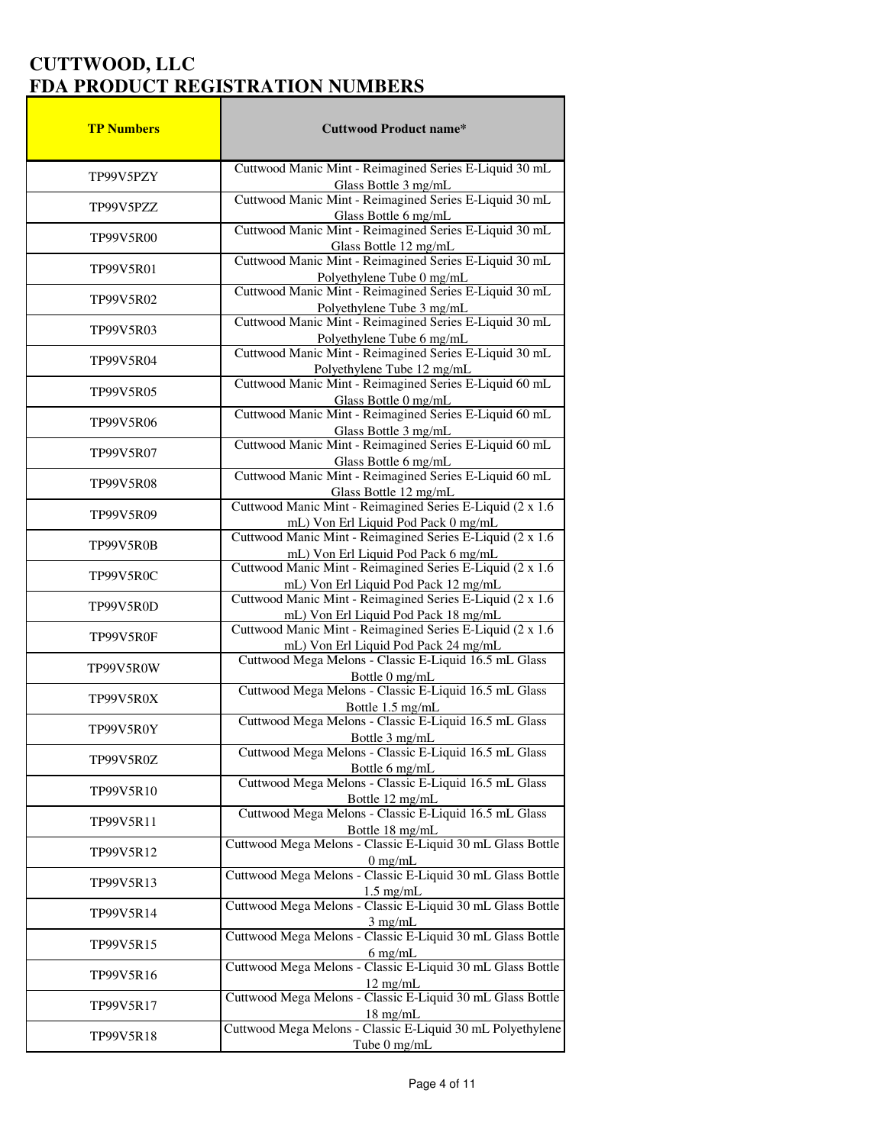| <b>TP Numbers</b> | <b>Cuttwood Product name*</b>                                                                                                              |
|-------------------|--------------------------------------------------------------------------------------------------------------------------------------------|
|                   | Cuttwood Manic Mint - Reimagined Series E-Liquid 30 mL                                                                                     |
| TP99V5PZY         | Glass Bottle 3 mg/mL                                                                                                                       |
| TP99V5PZZ         | Cuttwood Manic Mint - Reimagined Series E-Liquid 30 mL<br>Glass Bottle 6 mg/mL                                                             |
| TP99V5R00         | Cuttwood Manic Mint - Reimagined Series E-Liquid 30 mL                                                                                     |
|                   | Glass Bottle 12 mg/mL<br>Cuttwood Manic Mint - Reimagined Series E-Liquid 30 mL                                                            |
| <b>TP99V5R01</b>  | Polyethylene Tube 0 mg/mL<br>Cuttwood Manic Mint - Reimagined Series E-Liquid 30 mL                                                        |
| TP99V5R02         | Polyethylene Tube 3 mg/mL<br>Cuttwood Manic Mint - Reimagined Series E-Liquid 30 mL                                                        |
| TP99V5R03         | Polyethylene Tube 6 mg/mL<br>Cuttwood Manic Mint - Reimagined Series E-Liquid 30 mL                                                        |
| TP99V5R04         | Polyethylene Tube 12 mg/mL                                                                                                                 |
| <b>TP99V5R05</b>  | Cuttwood Manic Mint - Reimagined Series E-Liquid 60 mL                                                                                     |
|                   | Glass Bottle 0 mg/mL<br>Cuttwood Manic Mint - Reimagined Series E-Liquid 60 mL                                                             |
| TP99V5R06         | Glass Bottle 3 mg/mL<br>Cuttwood Manic Mint - Reimagined Series E-Liquid 60 mL                                                             |
| <b>TP99V5R07</b>  |                                                                                                                                            |
|                   | Glass Bottle 6 mg/mL<br>Cuttwood Manic Mint - Reimagined Series E-Liquid 60 mL                                                             |
| <b>TP99V5R08</b>  | Glass Bottle 12 mg/mL                                                                                                                      |
| TP99V5R09         | Cuttwood Manic Mint - Reimagined Series E-Liquid (2 x 1.6)                                                                                 |
|                   | mL) Von Erl Liquid Pod Pack 0 mg/mL<br>Cuttwood Manic Mint - Reimagined Series E-Liquid (2 x 1.6)                                          |
| TP99V5R0B         | mL) Von Erl Liquid Pod Pack 6 mg/mL<br>Cuttwood Manic Mint - Reimagined Series E-Liquid (2 x 1.6)                                          |
| TP99V5R0C         |                                                                                                                                            |
| TP99V5R0D         | mL) Von Erl Liquid Pod Pack 12 mg/mL<br>Cuttwood Manic Mint - Reimagined Series E-Liquid (2 x 1.6)<br>mL) Von Erl Liquid Pod Pack 18 mg/mL |
| TP99V5R0F         | Cuttwood Manic Mint - Reimagined Series E-Liquid (2 x 1.6)                                                                                 |
| TP99V5R0W         | mL) Von Erl Liquid Pod Pack 24 mg/mL<br>Cuttwood Mega Melons - Classic E-Liquid 16.5 mL Glass<br>Bottle 0 mg/mL                            |
| TP99V5R0X         | Cuttwood Mega Melons - Classic E-Liquid 16.5 mL Glass                                                                                      |
| TP99V5R0Y         | Bottle 1.5 mg/mL<br>Cuttwood Mega Melons - Classic E-Liquid 16.5 mL Glass                                                                  |
|                   | Bottle 3 mg/mL                                                                                                                             |
| TP99V5R0Z         | Cuttwood Mega Melons - Classic E-Liquid 16.5 mL Glass<br>Bottle 6 mg/mL                                                                    |
| TP99V5R10         | Cuttwood Mega Melons - Classic E-Liquid 16.5 mL Glass<br>Bottle 12 mg/mL                                                                   |
| TP99V5R11         | Cuttwood Mega Melons - Classic E-Liquid 16.5 mL Glass<br>Bottle 18 mg/mL                                                                   |
| TP99V5R12         | Cuttwood Mega Melons - Classic E-Liquid 30 mL Glass Bottle                                                                                 |
| TP99V5R13         | 0 mg/mL<br>Cuttwood Mega Melons - Classic E-Liquid 30 mL Glass Bottle                                                                      |
| TP99V5R14         | 1.5 mg/mL<br>Cuttwood Mega Melons - Classic E-Liquid 30 mL Glass Bottle                                                                    |
| TP99V5R15         | 3 mg/mL<br>Cuttwood Mega Melons - Classic E-Liquid 30 mL Glass Bottle<br>$6$ mg/mL                                                         |
| TP99V5R16         | Cuttwood Mega Melons - Classic E-Liquid 30 mL Glass Bottle<br>$12 \text{ mg/mL}$                                                           |
| TP99V5R17         | Cuttwood Mega Melons - Classic E-Liquid 30 mL Glass Bottle                                                                                 |
| TP99V5R18         | 18 mg/mL<br>Cuttwood Mega Melons - Classic E-Liquid 30 mL Polyethylene<br>Tube 0 mg/mL                                                     |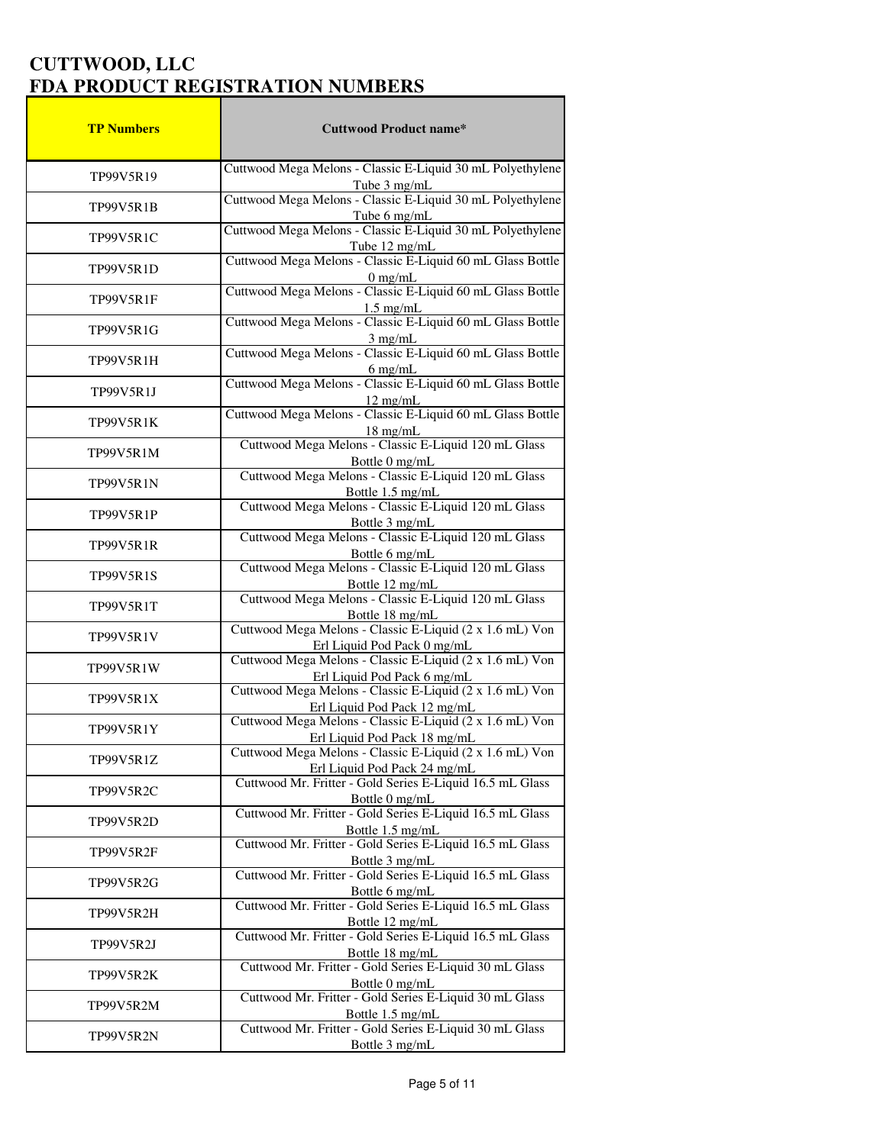| <b>TP Numbers</b> | <b>Cuttwood Product name*</b>                                                                                                       |
|-------------------|-------------------------------------------------------------------------------------------------------------------------------------|
|                   | Cuttwood Mega Melons - Classic E-Liquid 30 mL Polyethylene                                                                          |
| TP99V5R19         | Tube 3 mg/mL                                                                                                                        |
| TP99V5R1B         | Cuttwood Mega Melons - Classic E-Liquid 30 mL Polyethylene<br>Tube 6 mg/mL                                                          |
| TP99V5R1C         | Cuttwood Mega Melons - Classic E-Liquid 30 mL Polyethylene                                                                          |
|                   | Tube 12 mg/mL                                                                                                                       |
| <b>TP99V5R1D</b>  | Cuttwood Mega Melons - Classic E-Liquid 60 mL Glass Bottle<br>0 mg/mL<br>Cuttwood Mega Melons - Classic E-Liquid 60 mL Glass Bottle |
| TP99V5R1F         | 1.5 mg/mL<br>Cuttwood Mega Melons - Classic E-Liquid 60 mL Glass Bottle                                                             |
| TP99V5R1G         | $3$ mg/mL                                                                                                                           |
| TP99V5R1H         | Cuttwood Mega Melons - Classic E-Liquid 60 mL Glass Bottle<br>$6$ mg/mL                                                             |
| TP99V5R1J         | Cuttwood Mega Melons - Classic E-Liquid 60 mL Glass Bottle<br>$12 \text{ mg/mL}$                                                    |
| TP99V5R1K         | Cuttwood Mega Melons - Classic E-Liquid 60 mL Glass Bottle<br>$18 \text{ mg/mL}$                                                    |
|                   | Cuttwood Mega Melons - Classic E-Liquid 120 mL Glass                                                                                |
| TP99V5R1M         | Bottle 0 mg/mL                                                                                                                      |
| TP99V5R1N         | Cuttwood Mega Melons - Classic E-Liquid 120 mL Glass                                                                                |
| TP99V5R1P         | Bottle 1.5 mg/mL<br>Cuttwood Mega Melons - Classic E-Liquid 120 mL Glass                                                            |
|                   | Bottle 3 mg/mL                                                                                                                      |
| <b>TP99V5R1R</b>  | Cuttwood Mega Melons - Classic E-Liquid 120 mL Glass<br>Bottle 6 mg/mL                                                              |
| TP99V5R1S         | Cuttwood Mega Melons - Classic E-Liquid 120 mL Glass                                                                                |
| TP99V5R1T         | Bottle 12 mg/mL<br>Cuttwood Mega Melons - Classic E-Liquid 120 mL Glass                                                             |
| TP99V5R1V         | Bottle 18 mg/mL<br>Cuttwood Mega Melons - Classic E-Liquid (2 x 1.6 mL) Von<br>Erl Liquid Pod Pack 0 mg/mL                          |
| TP99V5R1W         | Cuttwood Mega Melons - Classic E-Liquid (2 x 1.6 mL) Von<br>Erl Liquid Pod Pack 6 mg/mL                                             |
| TP99V5R1X         | Cuttwood Mega Melons - Classic E-Liquid (2 x 1.6 mL) Von                                                                            |
|                   | Erl Liquid Pod Pack 12 mg/mL<br>Cuttwood Mega Melons - Classic E-Liquid (2 x 1.6 mL) Von                                            |
| TP99V5R1Y         | Erl Liquid Pod Pack 18 mg/mL                                                                                                        |
| TP99V5R1Z         | Cuttwood Mega Melons - Classic E-Liquid (2 x 1.6 mL) Von<br>Erl Liquid Pod Pack 24 mg/mL                                            |
| TP99V5R2C         | Cuttwood Mr. Fritter - Gold Series E-Liquid 16.5 mL Glass<br>Bottle 0 mg/mL                                                         |
| TP99V5R2D         | Cuttwood Mr. Fritter - Gold Series E-Liquid 16.5 mL Glass<br>Bottle 1.5 mg/mL                                                       |
| TP99V5R2F         | Cuttwood Mr. Fritter - Gold Series E-Liquid 16.5 mL Glass<br>Bottle 3 mg/mL                                                         |
| TP99V5R2G         | Cuttwood Mr. Fritter - Gold Series E-Liquid 16.5 mL Glass                                                                           |
| TP99V5R2H         | Bottle 6 mg/mL<br>Cuttwood Mr. Fritter - Gold Series E-Liquid 16.5 mL Glass<br>Bottle 12 mg/mL                                      |
| TP99V5R2J         | Cuttwood Mr. Fritter - Gold Series E-Liquid 16.5 mL Glass                                                                           |
| TP99V5R2K         | Bottle 18 mg/mL<br>Cuttwood Mr. Fritter - Gold Series E-Liquid 30 mL Glass                                                          |
|                   | Bottle 0 mg/mL<br>Cuttwood Mr. Fritter - Gold Series E-Liquid 30 mL Glass                                                           |
| TP99V5R2M         | Bottle 1.5 mg/mL                                                                                                                    |
| TP99V5R2N         | Cuttwood Mr. Fritter - Gold Series E-Liquid 30 mL Glass<br>Bottle 3 mg/mL                                                           |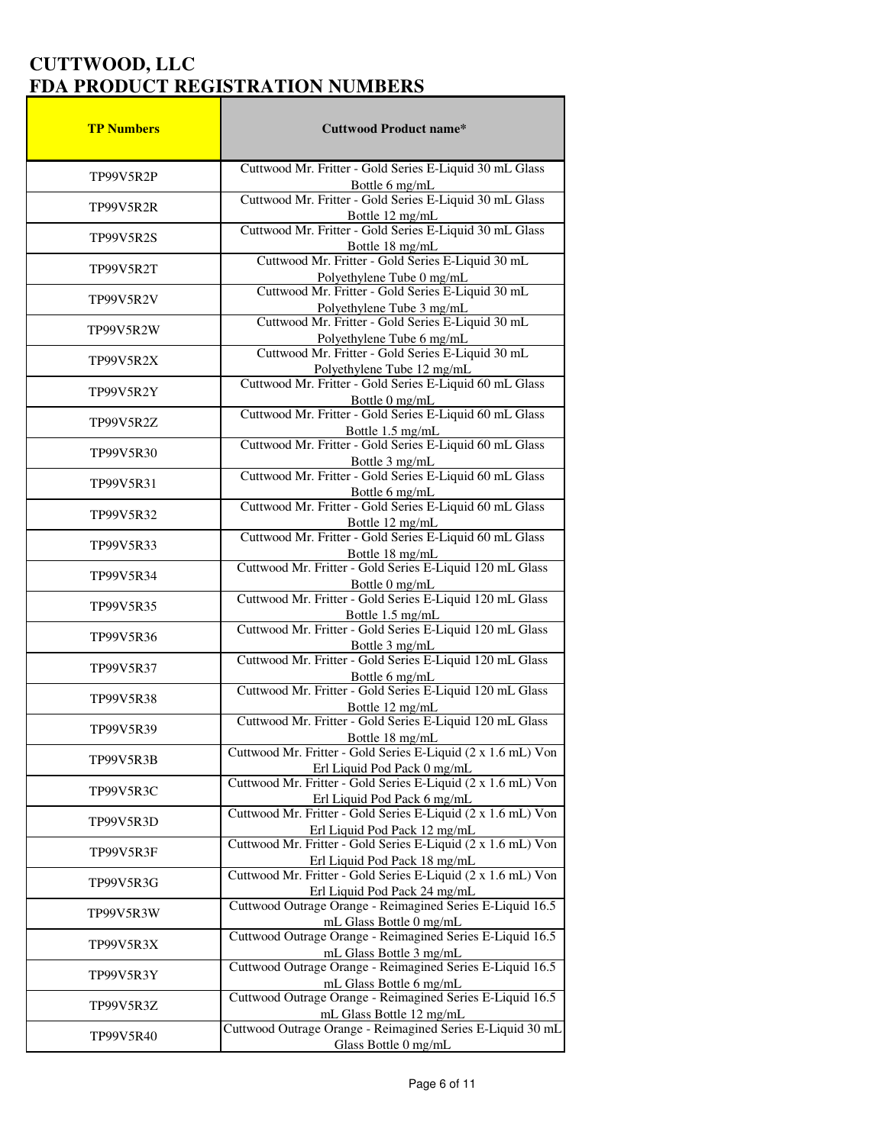| <b>TP Numbers</b> | <b>Cuttwood Product name*</b>                                                                                                       |
|-------------------|-------------------------------------------------------------------------------------------------------------------------------------|
| TP99V5R2P         | Cuttwood Mr. Fritter - Gold Series E-Liquid 30 mL Glass                                                                             |
| TP99V5R2R         | Bottle 6 mg/mL<br>Cuttwood Mr. Fritter - Gold Series E-Liquid 30 mL Glass<br>Bottle 12 mg/mL                                        |
| <b>TP99V5R2S</b>  | Cuttwood Mr. Fritter - Gold Series E-Liquid 30 mL Glass<br>Bottle 18 mg/mL                                                          |
| TP99V5R2T         | Cuttwood Mr. Fritter - Gold Series E-Liquid 30 mL<br>Polyethylene Tube 0 mg/mL<br>Cuttwood Mr. Fritter - Gold Series E-Liquid 30 mL |
| TP99V5R2V         |                                                                                                                                     |
| TP99V5R2W         | Polyethylene Tube 3 mg/mL<br>Cuttwood Mr. Fritter - Gold Series E-Liquid 30 mL                                                      |
| TP99V5R2X         | Polyethylene Tube 6 mg/mL<br>Cuttwood Mr. Fritter - Gold Series E-Liquid 30 mL<br>Polyethylene Tube 12 mg/mL                        |
| <b>TP99V5R2Y</b>  | Cuttwood Mr. Fritter - Gold Series E-Liquid 60 mL Glass                                                                             |
| TP99V5R2Z         | Bottle 0 mg/mL<br>Cuttwood Mr. Fritter - Gold Series E-Liquid 60 mL Glass                                                           |
| TP99V5R30         | Bottle 1.5 mg/mL<br>Cuttwood Mr. Fritter - Gold Series E-Liquid 60 mL Glass                                                         |
| TP99V5R31         | Bottle 3 mg/mL<br>Cuttwood Mr. Fritter - Gold Series E-Liquid 60 mL Glass<br>Bottle 6 mg/mL                                         |
| TP99V5R32         | Cuttwood Mr. Fritter - Gold Series E-Liquid 60 mL Glass<br>Bottle 12 mg/mL                                                          |
| TP99V5R33         | Cuttwood Mr. Fritter - Gold Series E-Liquid 60 mL Glass                                                                             |
| TP99V5R34         | Bottle 18 mg/mL<br>Cuttwood Mr. Fritter - Gold Series E-Liquid 120 mL Glass                                                         |
| TP99V5R35         | Bottle 0 mg/mL<br>Cuttwood Mr. Fritter - Gold Series E-Liquid 120 mL Glass<br>Bottle 1.5 mg/mL                                      |
| TP99V5R36         | Cuttwood Mr. Fritter - Gold Series E-Liquid 120 mL Glass<br>Bottle 3 mg/mL                                                          |
| TP99V5R37         | Cuttwood Mr. Fritter - Gold Series E-Liquid 120 mL Glass                                                                            |
| TP99V5R38         | Bottle 6 mg/mL<br>Cuttwood Mr. Fritter - Gold Series E-Liquid 120 mL Glass                                                          |
| TP99V5R39         | Bottle 12 mg/mL<br>Cuttwood Mr. Fritter - Gold Series E-Liquid 120 mL Glass                                                         |
| TP99V5R3B         | Bottle 18 mg/mL<br>Cuttwood Mr. Fritter - Gold Series E-Liquid (2 x 1.6 mL) Von<br>Erl Liquid Pod Pack 0 mg/mL                      |
| TP99V5R3C         | Cuttwood Mr. Fritter - Gold Series E-Liquid (2 x 1.6 mL) Von                                                                        |
| TP99V5R3D         | Erl Liquid Pod Pack 6 mg/mL<br>Cuttwood Mr. Fritter - Gold Series E-Liquid (2 x 1.6 mL) Von<br>Erl Liquid Pod Pack 12 mg/mL         |
| TP99V5R3F         | Cuttwood Mr. Fritter - Gold Series E-Liquid (2 x 1.6 mL) Von<br>Erl Liquid Pod Pack 18 mg/mL                                        |
| TP99V5R3G         | Cuttwood Mr. Fritter - Gold Series E-Liquid (2 x 1.6 mL) Von                                                                        |
| TP99V5R3W         | Erl Liquid Pod Pack 24 mg/mL<br>Cuttwood Outrage Orange - Reimagined Series E-Liquid 16.5                                           |
| TP99V5R3X         | mL Glass Bottle 0 mg/mL<br>Cuttwood Outrage Orange - Reimagined Series E-Liquid 16.5<br>mL Glass Bottle 3 mg/mL                     |
| TP99V5R3Y         | Cuttwood Outrage Orange - Reimagined Series E-Liquid 16.5<br>mL Glass Bottle 6 mg/mL                                                |
| TP99V5R3Z         | Cuttwood Outrage Orange - Reimagined Series E-Liquid 16.5                                                                           |
| TP99V5R40         | mL Glass Bottle 12 mg/mL<br>Cuttwood Outrage Orange - Reimagined Series E-Liquid 30 mL<br>Glass Bottle 0 mg/mL                      |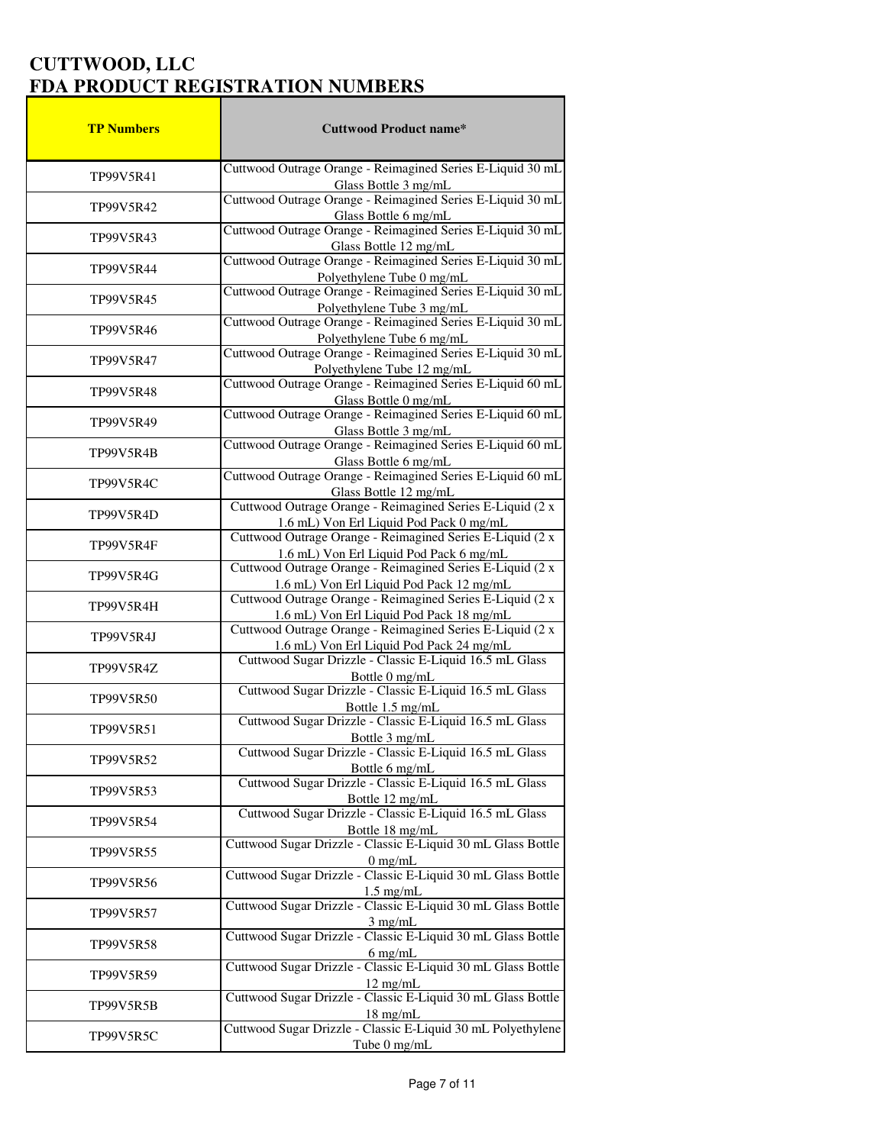| <b>TP Numbers</b> | <b>Cuttwood Product name*</b>                                                                                                                                                                                 |
|-------------------|---------------------------------------------------------------------------------------------------------------------------------------------------------------------------------------------------------------|
|                   | Cuttwood Outrage Orange - Reimagined Series E-Liquid 30 mL                                                                                                                                                    |
| TP99V5R41         | Glass Bottle 3 mg/mL                                                                                                                                                                                          |
| TP99V5R42         | Cuttwood Outrage Orange - Reimagined Series E-Liquid 30 mL<br>Glass Bottle 6 mg/mL                                                                                                                            |
| TP99V5R43         | Cuttwood Outrage Orange - Reimagined Series E-Liquid 30 mL<br>Glass Bottle 12 mg/mL                                                                                                                           |
| TP99V5R44         | Cuttwood Outrage Orange - Reimagined Series E-Liquid 30 mL<br>Polyethylene Tube 0 mg/mL                                                                                                                       |
| TP99V5R45         | Cuttwood Outrage Orange - Reimagined Series E-Liquid 30 mL<br>Polyethylene Tube 3 mg/mL<br>Cuttwood Outrage Orange - Reimagined Series E-Liquid 30 mL                                                         |
| TP99V5R46         | Polyethylene Tube 6 mg/mL                                                                                                                                                                                     |
| TP99V5R47         | Cuttwood Outrage Orange - Reimagined Series E-Liquid 30 mL<br>Polyethylene Tube 12 mg/mL                                                                                                                      |
| <b>TP99V5R48</b>  | Cuttwood Outrage Orange - Reimagined Series E-Liquid 60 mL<br>Glass Bottle 0 mg/mL                                                                                                                            |
| TP99V5R49         | Cuttwood Outrage Orange - Reimagined Series E-Liquid 60 mL                                                                                                                                                    |
| TP99V5R4B         | Glass Bottle 3 mg/mL<br>Cuttwood Outrage Orange - Reimagined Series E-Liquid 60 mL<br>Glass Bottle 6 mg/mL                                                                                                    |
| TP99V5R4C         | Cuttwood Outrage Orange - Reimagined Series E-Liquid 60 mL<br>Glass Bottle 12 mg/mL                                                                                                                           |
| TP99V5R4D         | Cuttwood Outrage Orange - Reimagined Series E-Liquid (2 x<br>1.6 mL) Von Erl Liquid Pod Pack 0 mg/mL                                                                                                          |
| TP99V5R4F         | Cuttwood Outrage Orange - Reimagined Series E-Liquid (2 x                                                                                                                                                     |
| TP99V5R4G         | 1.6 mL) Von Erl Liquid Pod Pack 6 mg/mL<br>Cuttwood Outrage Orange - Reimagined Series E-Liquid (2 x<br>1.6 mL) Von Erl Liquid Pod Pack 12 mg/mL<br>Cuttwood Outrage Orange - Reimagined Series E-Liquid (2 x |
| TP99V5R4H         | 1.6 mL) Von Erl Liquid Pod Pack 18 mg/mL                                                                                                                                                                      |
| TP99V5R4J         | Cuttwood Outrage Orange - Reimagined Series E-Liquid (2 x<br>1.6 mL) Von Erl Liquid Pod Pack 24 mg/mL                                                                                                         |
| TP99V5R4Z         | Cuttwood Sugar Drizzle - Classic E-Liquid 16.5 mL Glass<br>Bottle 0 mg/mL                                                                                                                                     |
| TP99V5R50         | Cuttwood Sugar Drizzle - Classic E-Liquid 16.5 mL Glass<br>Bottle 1.5 mg/mL<br>Cuttwood Sugar Drizzle - Classic E-Liquid 16.5 mL Glass                                                                        |
| TP99V5R51         |                                                                                                                                                                                                               |
| TP99V5R52         | Bottle 3 mg/mL<br>Cuttwood Sugar Drizzle - Classic E-Liquid 16.5 mL Glass<br>Bottle 6 mg/mL                                                                                                                   |
| TP99V5R53         | Cuttwood Sugar Drizzle - Classic E-Liquid 16.5 mL Glass<br>Bottle 12 mg/mL                                                                                                                                    |
| TP99V5R54         | Cuttwood Sugar Drizzle - Classic E-Liquid 16.5 mL Glass<br>Bottle 18 mg/mL<br>Cuttwood Sugar Drizzle - Classic E-Liquid 30 mL Glass Bottle                                                                    |
| TP99V5R55         |                                                                                                                                                                                                               |
| TP99V5R56         | 0 mg/mL<br>Cuttwood Sugar Drizzle - Classic E-Liquid 30 mL Glass Bottle<br>1.5 mg/mL<br>Cuttwood Sugar Drizzle - Classic E-Liquid 30 mL Glass Bottle                                                          |
| TP99V5R57         |                                                                                                                                                                                                               |
| TP99V5R58         | 3 mg/mL<br>Cuttwood Sugar Drizzle - Classic E-Liquid 30 mL Glass Bottle<br>$6$ mg/mL                                                                                                                          |
| TP99V5R59         | Cuttwood Sugar Drizzle - Classic E-Liquid 30 mL Glass Bottle<br>12 mg/mL                                                                                                                                      |
| TP99V5R5B         | Cuttwood Sugar Drizzle - Classic E-Liquid 30 mL Glass Bottle                                                                                                                                                  |
| TP99V5R5C         | 18 mg/mL<br>Cuttwood Sugar Drizzle - Classic E-Liquid 30 mL Polyethylene<br>Tube 0 mg/mL                                                                                                                      |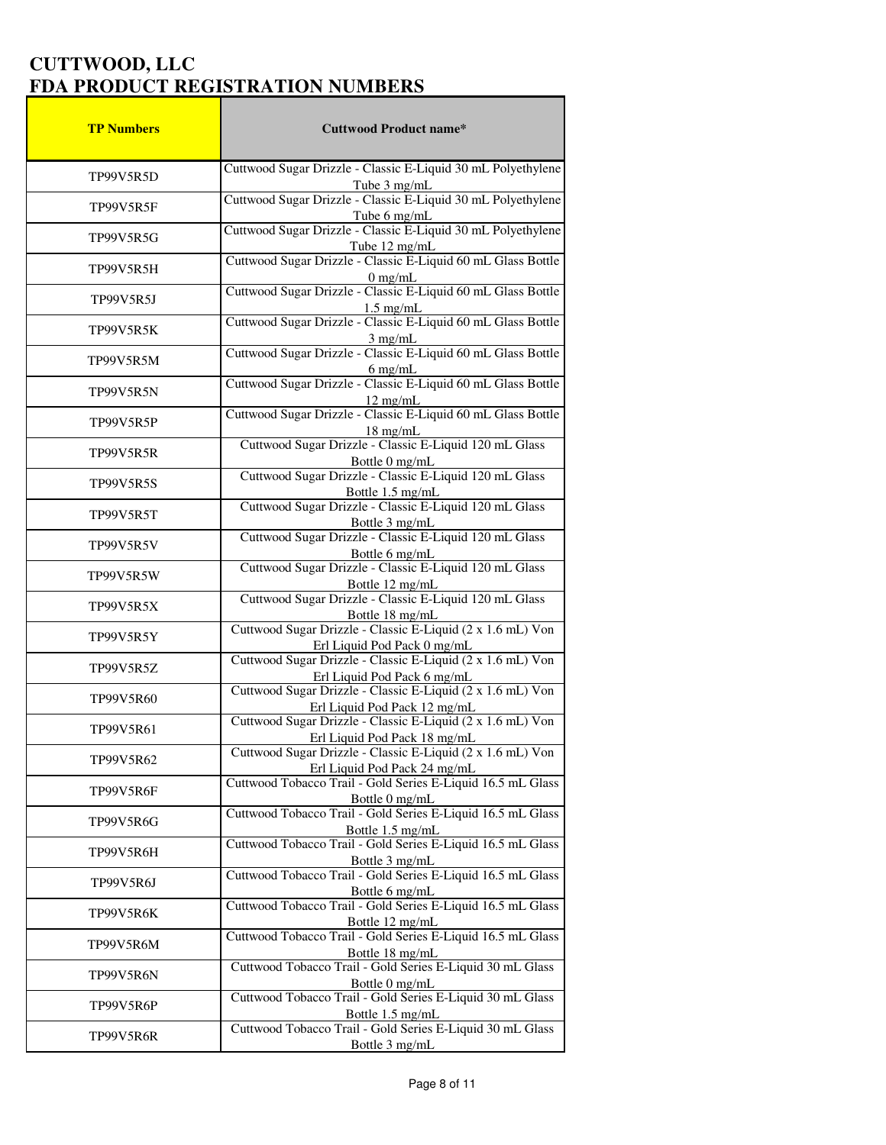| <b>TP Numbers</b> | <b>Cuttwood Product name*</b>                                                              |
|-------------------|--------------------------------------------------------------------------------------------|
|                   | Cuttwood Sugar Drizzle - Classic E-Liquid 30 mL Polyethylene                               |
| TP99V5R5D         | Tube 3 mg/mL                                                                               |
| TP99V5R5F         | Cuttwood Sugar Drizzle - Classic E-Liquid 30 mL Polyethylene                               |
|                   | Tube 6 mg/mL                                                                               |
| TP99V5R5G         | Cuttwood Sugar Drizzle - Classic E-Liquid 30 mL Polyethylene                               |
|                   | Tube 12 mg/mL                                                                              |
| TP99V5R5H         | Cuttwood Sugar Drizzle - Classic E-Liquid 60 mL Glass Bottle                               |
|                   | 0 mg/mL<br>Cuttwood Sugar Drizzle - Classic E-Liquid 60 mL Glass Bottle                    |
| TP99V5R5J         |                                                                                            |
|                   | 1.5 mg/mL<br>Cuttwood Sugar Drizzle - Classic E-Liquid 60 mL Glass Bottle                  |
| TP99V5R5K         |                                                                                            |
|                   | 3 mg/mL<br>Cuttwood Sugar Drizzle - Classic E-Liquid 60 mL Glass Bottle                    |
| TP99V5R5M         | $6$ mg/mL                                                                                  |
|                   | Cuttwood Sugar Drizzle - Classic E-Liquid 60 mL Glass Bottle                               |
| TP99V5R5N         | $12$ mg/mL                                                                                 |
| TP99V5R5P         | Cuttwood Sugar Drizzle - Classic E-Liquid 60 mL Glass Bottle                               |
|                   | $18$ mg/mL                                                                                 |
| TP99V5R5R         | Cuttwood Sugar Drizzle - Classic E-Liquid 120 mL Glass                                     |
|                   | Bottle 0 mg/mL                                                                             |
| <b>TP99V5R5S</b>  | Cuttwood Sugar Drizzle - Classic E-Liquid 120 mL Glass                                     |
|                   | Bottle 1.5 mg/mL<br>Cuttwood Sugar Drizzle - Classic E-Liquid 120 mL Glass                 |
| TP99V5R5T         | Bottle 3 mg/mL                                                                             |
|                   | Cuttwood Sugar Drizzle - Classic E-Liquid 120 mL Glass                                     |
| TP99V5R5V         | Bottle 6 mg/mL                                                                             |
|                   | Cuttwood Sugar Drizzle - Classic E-Liquid 120 mL Glass                                     |
| TP99V5R5W         |                                                                                            |
| TP99V5R5X         | Bottle 12 mg/mL<br>Cuttwood Sugar Drizzle - Classic E-Liquid 120 mL Glass                  |
|                   | Bottle 18 mg/mL<br>Cuttwood Sugar Drizzle - Classic E-Liquid (2 x 1.6 mL) Von              |
| TP99V5R5Y         |                                                                                            |
|                   | Erl Liquid Pod Pack 0 mg/mL                                                                |
| TP99V5R5Z         | Cuttwood Sugar Drizzle - Classic E-Liquid (2 x 1.6 mL) Von                                 |
|                   | Erl Liquid Pod Pack 6 mg/mL<br>Cuttwood Sugar Drizzle - Classic E-Liquid (2 x 1.6 mL) Von  |
| TP99V5R60         |                                                                                            |
|                   | Erl Liquid Pod Pack 12 mg/mL<br>Cuttwood Sugar Drizzle - Classic E-Liquid (2 x 1.6 mL) Von |
| TP99V5R61         |                                                                                            |
|                   | Erl Liquid Pod Pack 18 mg/mL<br>Cuttwood Sugar Drizzle - Classic E-Liquid (2 x 1.6 mL) Von |
| TP99V5R62         | Erl Liquid Pod Pack 24 mg/mL                                                               |
| TP99V5R6F         | Cuttwood Tobacco Trail - Gold Series E-Liquid 16.5 mL Glass                                |
|                   | Bottle 0 mg/mL                                                                             |
| <b>TP99V5R6G</b>  | Cuttwood Tobacco Trail - Gold Series E-Liquid 16.5 mL Glass                                |
|                   | Bottle 1.5 mg/mL                                                                           |
| TP99V5R6H         | Cuttwood Tobacco Trail - Gold Series E-Liquid 16.5 mL Glass                                |
|                   | Bottle 3 mg/mL<br>Cuttwood Tobacco Trail - Gold Series E-Liquid 16.5 mL Glass              |
| TP99V5R6J         |                                                                                            |
|                   | Bottle 6 mg/mL<br>Cuttwood Tobacco Trail - Gold Series E-Liquid 16.5 mL Glass              |
| TP99V5R6K         | Bottle 12 mg/mL                                                                            |
| TP99V5R6M         | Cuttwood Tobacco Trail - Gold Series E-Liquid 16.5 mL Glass                                |
|                   | Bottle 18 mg/mL                                                                            |
| TP99V5R6N         | Cuttwood Tobacco Trail - Gold Series E-Liquid 30 mL Glass                                  |
|                   | Bottle 0 mg/mL                                                                             |
| TP99V5R6P         | Cuttwood Tobacco Trail - Gold Series E-Liquid 30 mL Glass                                  |
|                   | Bottle 1.5 mg/mL<br>Cuttwood Tobacco Trail - Gold Series E-Liquid 30 mL Glass              |
| TP99V5R6R         | Bottle 3 mg/mL                                                                             |
|                   |                                                                                            |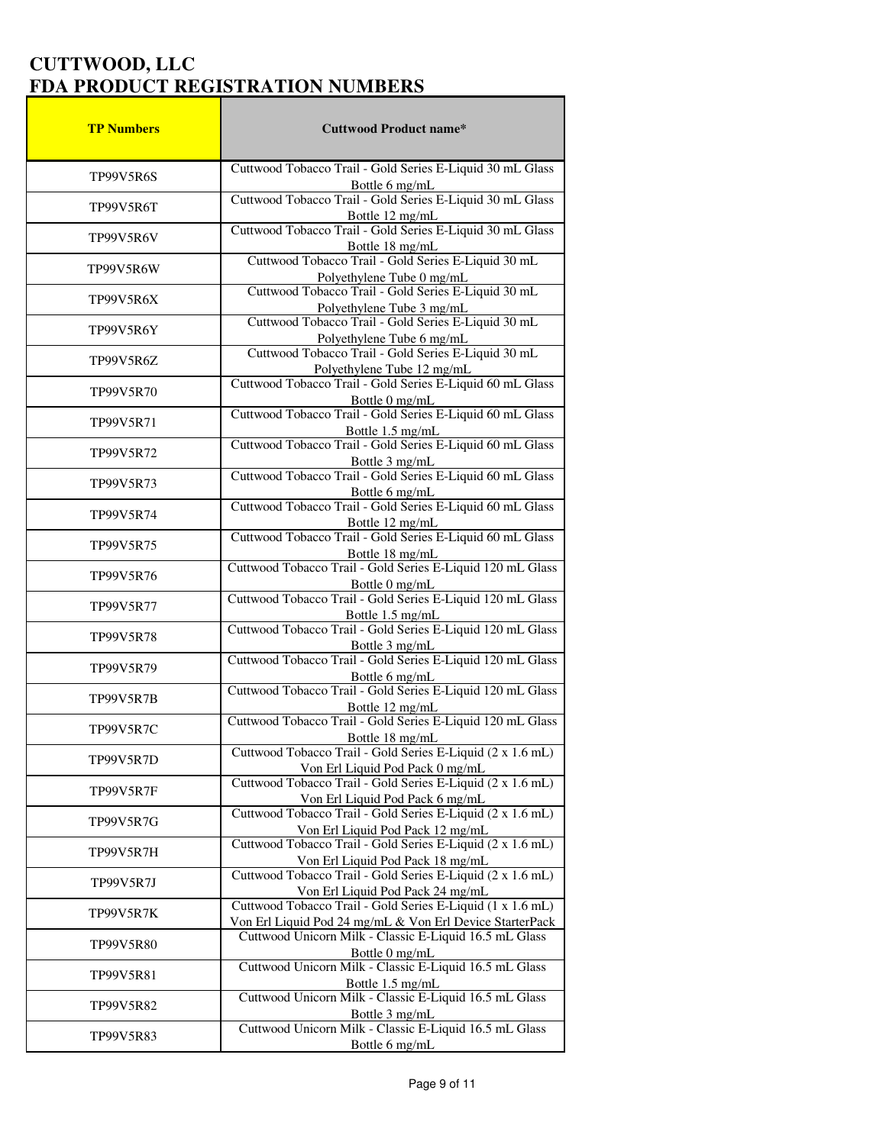| <b>TP Numbers</b> | <b>Cuttwood Product name*</b>                                                                                                                                        |
|-------------------|----------------------------------------------------------------------------------------------------------------------------------------------------------------------|
| TP99V5R6S         | Cuttwood Tobacco Trail - Gold Series E-Liquid 30 mL Glass                                                                                                            |
|                   | Bottle 6 mg/mL                                                                                                                                                       |
| TP99V5R6T         | Cuttwood Tobacco Trail - Gold Series E-Liquid 30 mL Glass<br>Bottle 12 mg/mL                                                                                         |
| TP99V5R6V         | Cuttwood Tobacco Trail - Gold Series E-Liquid 30 mL Glass<br>Bottle 18 mg/mL                                                                                         |
| TP99V5R6W         | Cuttwood Tobacco Trail - Gold Series E-Liquid 30 mL                                                                                                                  |
| TP99V5R6X         | Polyethylene Tube 0 mg/mL<br>Cuttwood Tobacco Trail - Gold Series E-Liquid 30 mL<br>Polyethylene Tube 3 mg/mL<br>Cuttwood Tobacco Trail - Gold Series E-Liquid 30 mL |
| TP99V5R6Y         |                                                                                                                                                                      |
| TP99V5R6Z         | Polyethylene Tube 6 mg/mL<br>Cuttwood Tobacco Trail - Gold Series E-Liquid 30 mL                                                                                     |
| TP99V5R70         | Polyethylene Tube 12 mg/mL<br>Cuttwood Tobacco Trail - Gold Series E-Liquid 60 mL Glass                                                                              |
| TP99V5R71         | Bottle 0 mg/mL<br>Cuttwood Tobacco Trail - Gold Series E-Liquid 60 mL Glass                                                                                          |
| TP99V5R72         | Bottle 1.5 mg/mL<br>Cuttwood Tobacco Trail - Gold Series E-Liquid 60 mL Glass                                                                                        |
| TP99V5R73         | Bottle 3 mg/mL<br>Cuttwood Tobacco Trail - Gold Series E-Liquid 60 mL Glass<br>Bottle 6 mg/mL                                                                        |
| <b>TP99V5R74</b>  | Cuttwood Tobacco Trail - Gold Series E-Liquid 60 mL Glass<br>Bottle 12 mg/mL                                                                                         |
| TP99V5R75         | Cuttwood Tobacco Trail - Gold Series E-Liquid 60 mL Glass                                                                                                            |
| <b>TP99V5R76</b>  | Bottle 18 mg/mL<br>Cuttwood Tobacco Trail - Gold Series E-Liquid 120 mL Glass                                                                                        |
| TP99V5R77         | Bottle 0 mg/mL<br>Cuttwood Tobacco Trail - Gold Series E-Liquid 120 mL Glass<br>Bottle 1.5 mg/mL                                                                     |
| TP99V5R78         | Cuttwood Tobacco Trail - Gold Series E-Liquid 120 mL Glass<br>Bottle 3 mg/mL                                                                                         |
| TP99V5R79         | Cuttwood Tobacco Trail - Gold Series E-Liquid 120 mL Glass                                                                                                           |
| TP99V5R7B         | Bottle 6 mg/mL<br>Cuttwood Tobacco Trail - Gold Series E-Liquid 120 mL Glass                                                                                         |
| <b>TP99V5R7C</b>  | Bottle 12 mg/mL<br>Cuttwood Tobacco Trail - Gold Series E-Liquid 120 mL Glass<br>Bottle 18 mg/mL                                                                     |
| TP99V5R7D         | Cuttwood Tobacco Trail - Gold Series E-Liquid (2 x 1.6 mL)                                                                                                           |
| TP99V5R7F         | Von Erl Liquid Pod Pack 0 mg/mL<br>Cuttwood Tobacco Trail - Gold Series E-Liquid (2 x 1.6 mL)<br>Von Erl Liquid Pod Pack 6 mg/mL                                     |
| <b>TP99V5R7G</b>  | Cuttwood Tobacco Trail - Gold Series E-Liquid (2 x 1.6 mL)<br>Von Erl Liquid Pod Pack 12 mg/mL                                                                       |
| TP99V5R7H         | Cuttwood Tobacco Trail - Gold Series E-Liquid (2 x 1.6 mL)<br>Von Erl Liquid Pod Pack 18 mg/mL                                                                       |
| <b>TP99V5R7J</b>  | Cuttwood Tobacco Trail - Gold Series E-Liquid (2 x 1.6 mL)<br>Von Erl Liquid Pod Pack 24 mg/mL                                                                       |
| TP99V5R7K         | Cuttwood Tobacco Trail - Gold Series E-Liquid (1 x 1.6 mL)                                                                                                           |
| TP99V5R80         | Von Erl Liquid Pod 24 mg/mL & Von Erl Device StarterPack<br>Cuttwood Unicorn Milk - Classic E-Liquid 16.5 mL Glass<br>Bottle 0 mg/mL                                 |
| TP99V5R81         | Cuttwood Unicorn Milk - Classic E-Liquid 16.5 mL Glass<br>Bottle 1.5 mg/mL                                                                                           |
| TP99V5R82         | Cuttwood Unicorn Milk - Classic E-Liquid 16.5 mL Glass<br>Bottle 3 mg/mL                                                                                             |
| TP99V5R83         | Cuttwood Unicorn Milk - Classic E-Liquid 16.5 mL Glass<br>Bottle 6 mg/mL                                                                                             |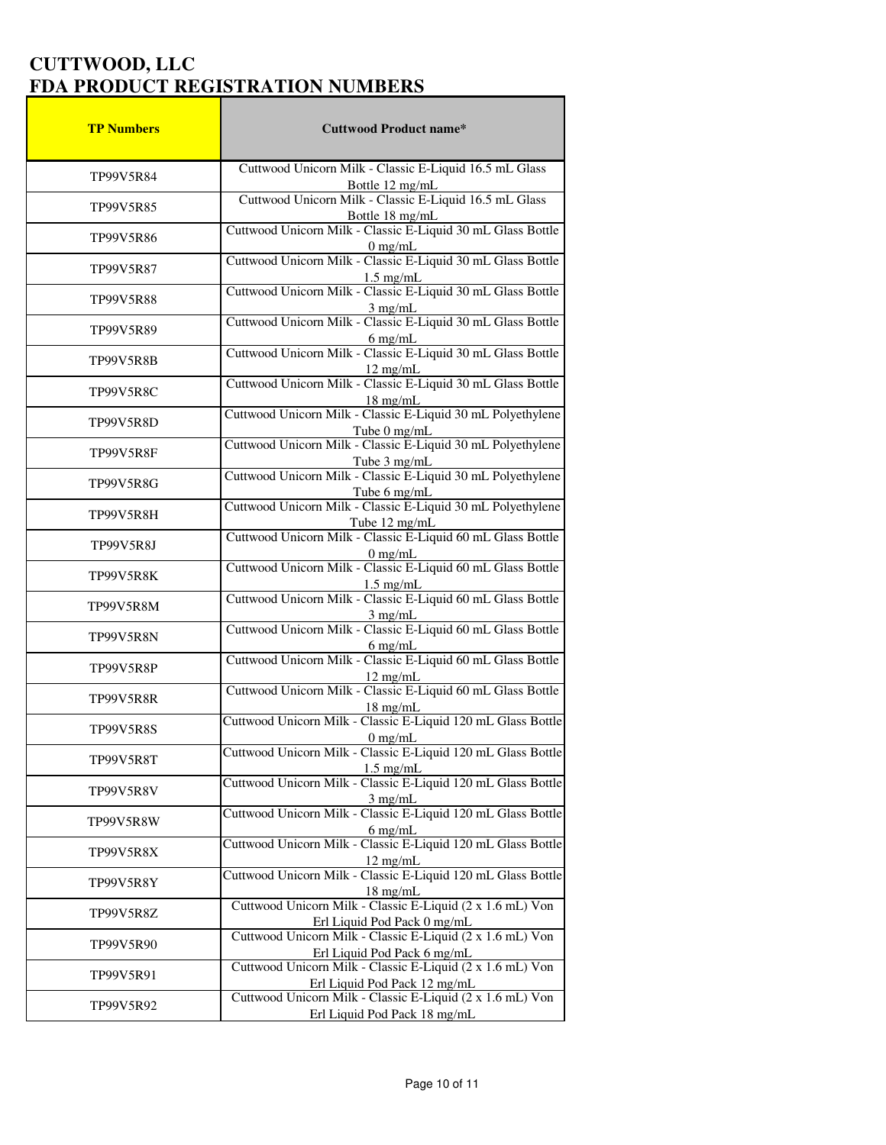| <b>TP Numbers</b> | <b>Cuttwood Product name*</b>                                                                                                                            |
|-------------------|----------------------------------------------------------------------------------------------------------------------------------------------------------|
| TP99V5R84         | Cuttwood Unicorn Milk - Classic E-Liquid 16.5 mL Glass<br>Bottle 12 mg/mL                                                                                |
| TP99V5R85         | Cuttwood Unicorn Milk - Classic E-Liquid 16.5 mL Glass                                                                                                   |
| TP99V5R86         | Bottle 18 mg/mL<br>Cuttwood Unicorn Milk - Classic E-Liquid 30 mL Glass Bottle<br>0 mg/mL<br>Cuttwood Unicorn Milk - Classic E-Liquid 30 mL Glass Bottle |
| TP99V5R87         |                                                                                                                                                          |
| <b>TP99V5R88</b>  | 1.5 mg/mL<br>Cuttwood Unicorn Milk - Classic E-Liquid 30 mL Glass Bottle<br>3 mg/mL<br>Cuttwood Unicorn Milk - Classic E-Liquid 30 mL Glass Bottle       |
| TP99V5R89         |                                                                                                                                                          |
| TP99V5R8B         | 6 mg/mL<br>Cuttwood Unicorn Milk - Classic E-Liquid 30 mL Glass Bottle<br>$12 \text{ mg/mL}$                                                             |
| <b>TP99V5R8C</b>  | Cuttwood Unicorn Milk - Classic E-Liquid 30 mL Glass Bottle                                                                                              |
| <b>TP99V5R8D</b>  | 18 mg/mL<br>Cuttwood Unicorn Milk - Classic E-Liquid 30 mL Polyethylene                                                                                  |
| TP99V5R8F         | Tube 0 mg/mL<br>Cuttwood Unicorn Milk - Classic E-Liquid 30 mL Polyethylene                                                                              |
| <b>TP99V5R8G</b>  | Tube 3 mg/mL<br>Cuttwood Unicorn Milk - Classic E-Liquid 30 mL Polyethylene                                                                              |
| TP99V5R8H         | Tube 6 mg/mL<br>Cuttwood Unicorn Milk - Classic E-Liquid 30 mL Polyethylene<br>Tube $12 \text{ mg/mL}$                                                   |
| TP99V5R8J         | Cuttwood Unicorn Milk - Classic E-Liquid 60 mL Glass Bottle                                                                                              |
| TP99V5R8K         | $\frac{0 \text{ mg/mL}}{\text{Cuttwood Union min} + \text{Classifier - Liquid 60 mL Glass Bottle}}$                                                      |
| TP99V5R8M         | 1.5 mg/mL<br>Cuttwood Unicorn Milk - Classic E-Liquid 60 mL Glass Bottle                                                                                 |
| TP99V5R8N         | 3 mg/mL<br>Cuttwood Unicorn Milk - Classic E-Liquid 60 mL Glass Bottle<br>$6$ mg/mL                                                                      |
| TP99V5R8P         | Cuttwood Unicorn Milk - Classic E-Liquid 60 mL Glass Bottle<br>12 mg/mL<br>Cuttwood Unicorn Milk - Classic E-Liquid 60 mL Glass Bottle                   |
| TP99V5R8R         | 18 mg/mL<br>Cuttwood Unicorn Milk - Classic E-Liquid 120 mL Glass Bottle                                                                                 |
| <b>TP99V5R8S</b>  |                                                                                                                                                          |
| TP99V5R8T         | 0 mg/mL<br>Cuttwood Unicorn Milk - Classic E-Liquid 120 mL Glass Bottle<br>$1.5 \text{ mg/mL}$                                                           |
| <b>TP99V5R8V</b>  | Cuttwood Unicorn Milk - Classic E-Liquid 120 mL Glass Bottle<br>$3$ mg/mL                                                                                |
| TP99V5R8W         | Cuttwood Unicorn Milk - Classic E-Liquid 120 mL Glass Bottle<br>$6$ mg/mL                                                                                |
| TP99V5R8X         | Cuttwood Unicorn Milk - Classic E-Liquid 120 mL Glass Bottle<br>$12$ mg/mL                                                                               |
| TP99V5R8Y         | Cuttwood Unicorn Milk - Classic E-Liquid 120 mL Glass Bottle                                                                                             |
| TP99V5R8Z         | 18 mg/mL<br>Cuttwood Unicorn Milk - Classic E-Liquid (2 x 1.6 mL) Von                                                                                    |
| TP99V5R90         | Erl Liquid Pod Pack 0 mg/mL<br>Cuttwood Unicorn Milk - Classic E-Liquid (2 x 1.6 mL) Von                                                                 |
| TP99V5R91         | Erl Liquid Pod Pack 6 mg/mL<br>Cuttwood Unicorn Milk - Classic E-Liquid (2 x 1.6 mL) Von<br>Erl Liquid Pod Pack 12 mg/mL                                 |
| TP99V5R92         | Cuttwood Unicorn Milk - Classic E-Liquid (2 x 1.6 mL) Von<br>Erl Liquid Pod Pack 18 mg/mL                                                                |